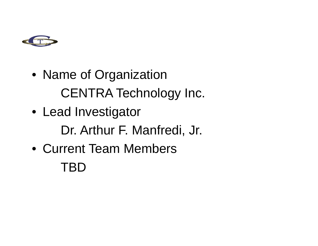

- Name of Organization CENTRA Technology Inc.
- Lead Investigator Dr. Arthur F. Manfredi, Jr.
- Current Team Members TBD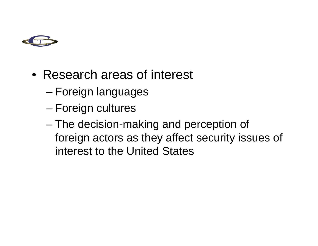

- Research areas of interest
	- Foreign languages
	- –Foreign cultures
	- –– The decision-making and perception of foreign actors as they affect security issues of interest to the United States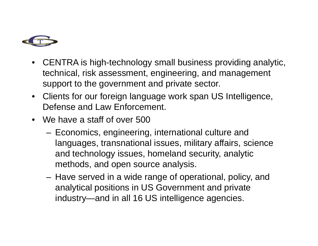

- CENTRA is high-technology small business providing analytic, technical, risk assessment, engineering, and management support to the government and private sector.
- Clients for our foreign language work span US Intelligence, Defense and Law Enforcement.
- We have a staff of over 500
	- –– Economics, engineering, international culture and languages, transnational issues, military affairs, science and technology issues, homeland security, analytic methods, and open source analysis.
	- –– Have served in a wide range of operational, policy, and analytical positions in US Government and private industry—and in all 16 US intelligence agencies.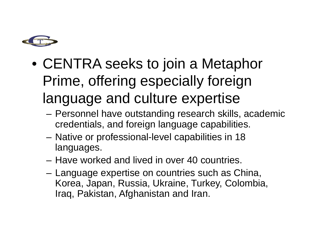

- CENTRA seeks to join a Metaphor Prime, offering especially foreign language and culture expertise
	- Personnel have outstanding research skills, academic credentials, and foreign language capabilities.
	- –– Native or professional-level capabilities in 18 languages.
	- Have worked and lived in over 40 countries.
	- – Language expertise on countries such as China, Korea, Japan, Russia, Ukraine, Turkey, Colombia, Iraq, Pakistan, Afghanistan and Iran.